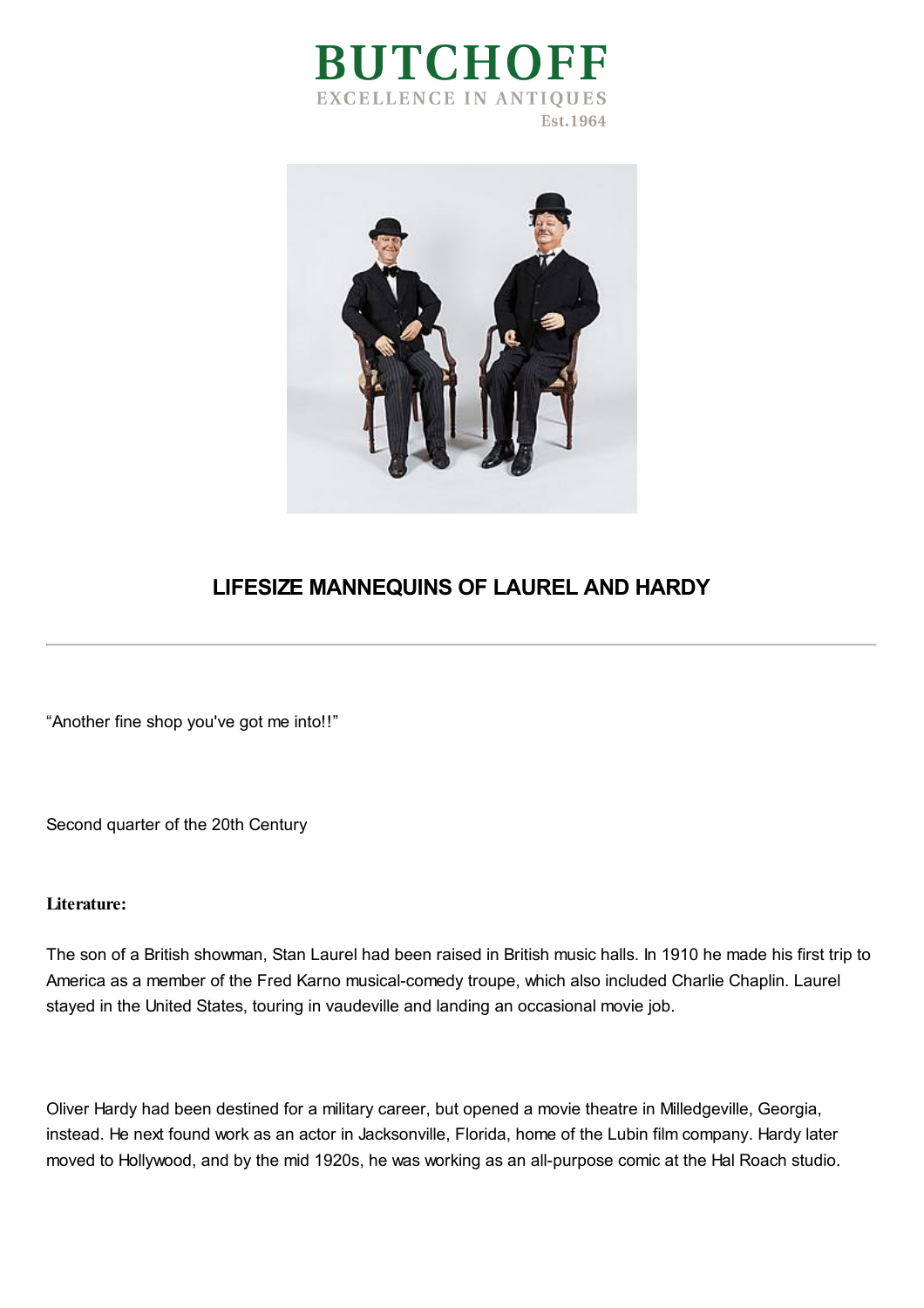



## **LIFESIZE MANNEQUINS OF LAUREL AND HARDY**

"Another fine shop you've got me into!!"

Second quarter of the 20th Century

## **Literature:**

The son of a British showman, Stan Laurel had been raised in British music halls. In 1910 he made his first trip to America as a member of the Fred Karno musical-comedy troupe, which also included Charlie Chaplin. Laurel stayed in the United States, touring in vaudeville and landing an occasional movie job.

Oliver Hardy had been destined for a military career, but opened a movie theatre in Milledgeville, Georgia, instead. He next found work as an actor in Jacksonville, Florida, home of the Lubin film company. Hardy later moved to Hollywood, and by the mid 1920s, he was working as an all-purpose comic at the Hal Roach studio.